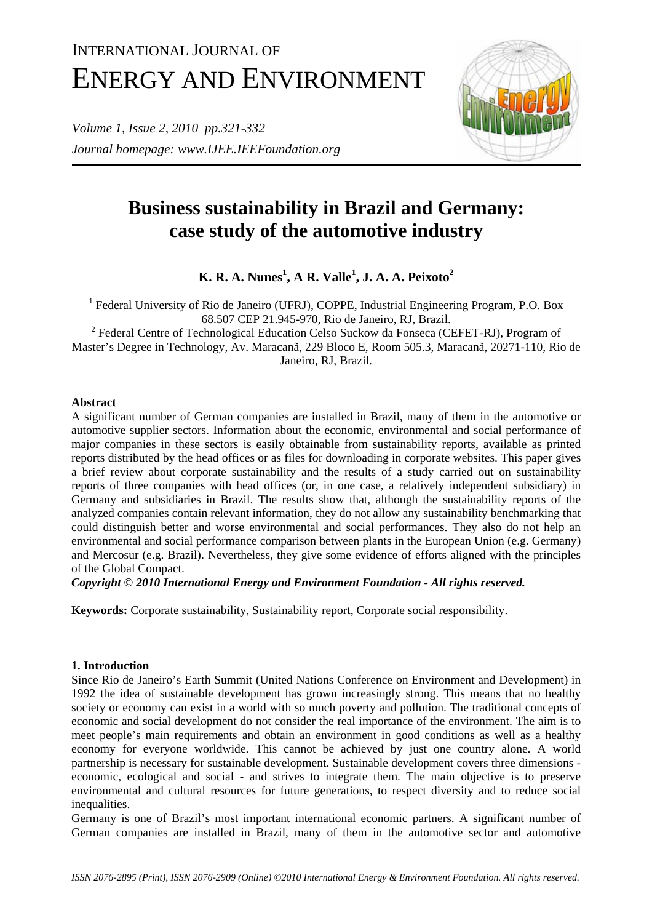# INTERNATIONAL JOURNAL OF ENERGY AND ENVIRONMENT

*Volume 1, Issue 2, 2010 pp.321-332 Journal homepage: www.IJEE.IEEFoundation.org* 



# **Business sustainability in Brazil and Germany: case study of the automotive industry**

**K. R. A. Nunes<sup>1</sup> , A R. Valle<sup>1</sup> , J. A. A. Peixoto2**

<sup>1</sup> Federal University of Rio de Janeiro (UFRJ), COPPE, Industrial Engineering Program, P.O. Box 68.507 CEP 21.945-970, Rio de Janeiro, RJ, Brazil.

<sup>2</sup> Federal Centre of Technological Education Celso Suckow da Fonseca (CEFET-RJ), Program of Master's Degree in Technology, Av. Maracanã, 229 Bloco E, Room 505.3, Maracanã, 20271-110, Rio de Janeiro, RJ, Brazil.

### **Abstract**

A significant number of German companies are installed in Brazil, many of them in the automotive or automotive supplier sectors. Information about the economic, environmental and social performance of major companies in these sectors is easily obtainable from sustainability reports, available as printed reports distributed by the head offices or as files for downloading in corporate websites. This paper gives a brief review about corporate sustainability and the results of a study carried out on sustainability reports of three companies with head offices (or, in one case, a relatively independent subsidiary) in Germany and subsidiaries in Brazil. The results show that, although the sustainability reports of the analyzed companies contain relevant information, they do not allow any sustainability benchmarking that could distinguish better and worse environmental and social performances. They also do not help an environmental and social performance comparison between plants in the European Union (e.g. Germany) and Mercosur (e.g. Brazil). Nevertheless, they give some evidence of efforts aligned with the principles of the Global Compact.

*Copyright © 2010 International Energy and Environment Foundation - All rights reserved.*

**Keywords:** Corporate sustainability, Sustainability report, Corporate social responsibility.

## **1. Introduction**

Since Rio de Janeiro's Earth Summit (United Nations Conference on Environment and Development) in 1992 the idea of sustainable development has grown increasingly strong. This means that no healthy society or economy can exist in a world with so much poverty and pollution. The traditional concepts of economic and social development do not consider the real importance of the environment. The aim is to meet people's main requirements and obtain an environment in good conditions as well as a healthy economy for everyone worldwide. This cannot be achieved by just one country alone. A world partnership is necessary for sustainable development. Sustainable development covers three dimensions economic, ecological and social - and strives to integrate them. The main objective is to preserve environmental and cultural resources for future generations, to respect diversity and to reduce social inequalities.

Germany is one of Brazil's most important international economic partners. A significant number of German companies are installed in Brazil, many of them in the automotive sector and automotive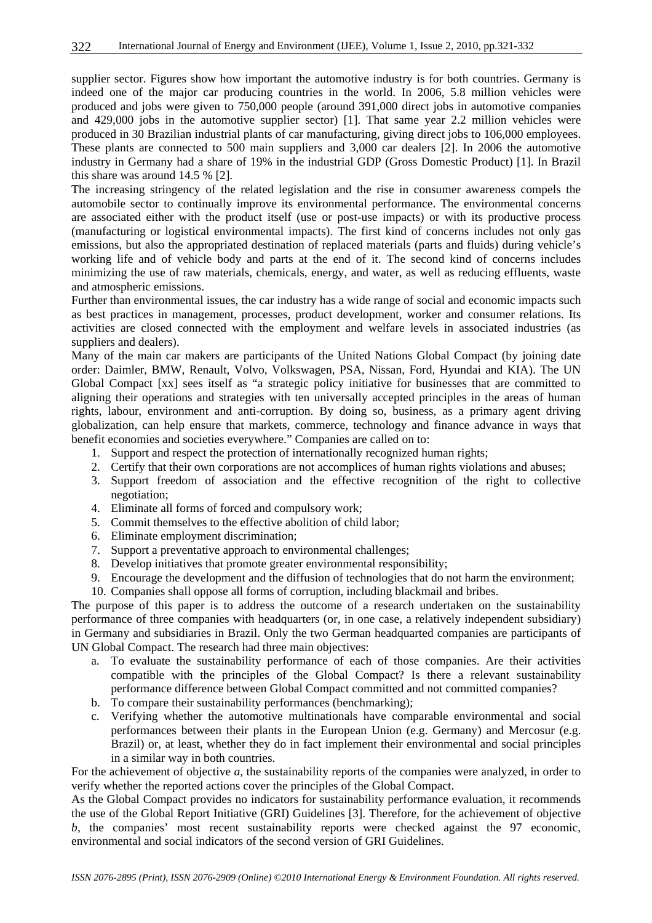supplier sector. Figures show how important the automotive industry is for both countries. Germany is indeed one of the major car producing countries in the world. In 2006, 5.8 million vehicles were produced and jobs were given to 750,000 people (around 391,000 direct jobs in automotive companies and 429,000 jobs in the automotive supplier sector) [1]. That same year 2.2 million vehicles were produced in 30 Brazilian industrial plants of car manufacturing, giving direct jobs to 106,000 employees. These plants are connected to 500 main suppliers and 3,000 car dealers [2]. In 2006 the automotive industry in Germany had a share of 19% in the industrial GDP (Gross Domestic Product) [1]. In Brazil this share was around 14.5 % [2].

The increasing stringency of the related legislation and the rise in consumer awareness compels the automobile sector to continually improve its environmental performance. The environmental concerns are associated either with the product itself (use or post-use impacts) or with its productive process (manufacturing or logistical environmental impacts). The first kind of concerns includes not only gas emissions, but also the appropriated destination of replaced materials (parts and fluids) during vehicle's working life and of vehicle body and parts at the end of it. The second kind of concerns includes minimizing the use of raw materials, chemicals, energy, and water, as well as reducing effluents, waste and atmospheric emissions.

Further than environmental issues, the car industry has a wide range of social and economic impacts such as best practices in management, processes, product development, worker and consumer relations. Its activities are closed connected with the employment and welfare levels in associated industries (as suppliers and dealers).

Many of the main car makers are participants of the United Nations Global Compact (by joining date order: Daimler, BMW, Renault, Volvo, Volkswagen, PSA, Nissan, Ford, Hyundai and KIA). The UN Global Compact [xx] sees itself as "a strategic policy initiative for businesses that are committed to aligning their operations and strategies with ten universally accepted principles in the areas of human rights, labour, environment and anti-corruption. By doing so, business, as a primary agent driving globalization, can help ensure that markets, commerce, technology and finance advance in ways that benefit economies and societies everywhere." Companies are called on to:

- 1. Support and respect the protection of internationally recognized human rights;
- 2. Certify that their own corporations are not accomplices of human rights violations and abuses;
- 3. Support freedom of association and the effective recognition of the right to collective negotiation;
- 4. Eliminate all forms of forced and compulsory work;
- 5. Commit themselves to the effective abolition of child labor;
- 6. Eliminate employment discrimination;
- 7. Support a preventative approach to environmental challenges;
- 8. Develop initiatives that promote greater environmental responsibility;
- 9. Encourage the development and the diffusion of technologies that do not harm the environment;
- 10. Companies shall oppose all forms of corruption, including blackmail and bribes.

The purpose of this paper is to address the outcome of a research undertaken on the sustainability performance of three companies with headquarters (or, in one case, a relatively independent subsidiary) in Germany and subsidiaries in Brazil. Only the two German headquarted companies are participants of UN Global Compact. The research had three main objectives:

- a. To evaluate the sustainability performance of each of those companies. Are their activities compatible with the principles of the Global Compact? Is there a relevant sustainability performance difference between Global Compact committed and not committed companies?
- b. To compare their sustainability performances (benchmarking);
- c. Verifying whether the automotive multinationals have comparable environmental and social performances between their plants in the European Union (e.g. Germany) and Mercosur (e.g. Brazil) or, at least, whether they do in fact implement their environmental and social principles in a similar way in both countries.

For the achievement of objective *a,* the sustainability reports of the companies were analyzed, in order to verify whether the reported actions cover the principles of the Global Compact.

As the Global Compact provides no indicators for sustainability performance evaluation, it recommends the use of the Global Report Initiative (GRI) Guidelines [3]. Therefore, for the achievement of objective *b,* the companies' most recent sustainability reports were checked against the 97 economic, environmental and social indicators of the second version of GRI Guidelines.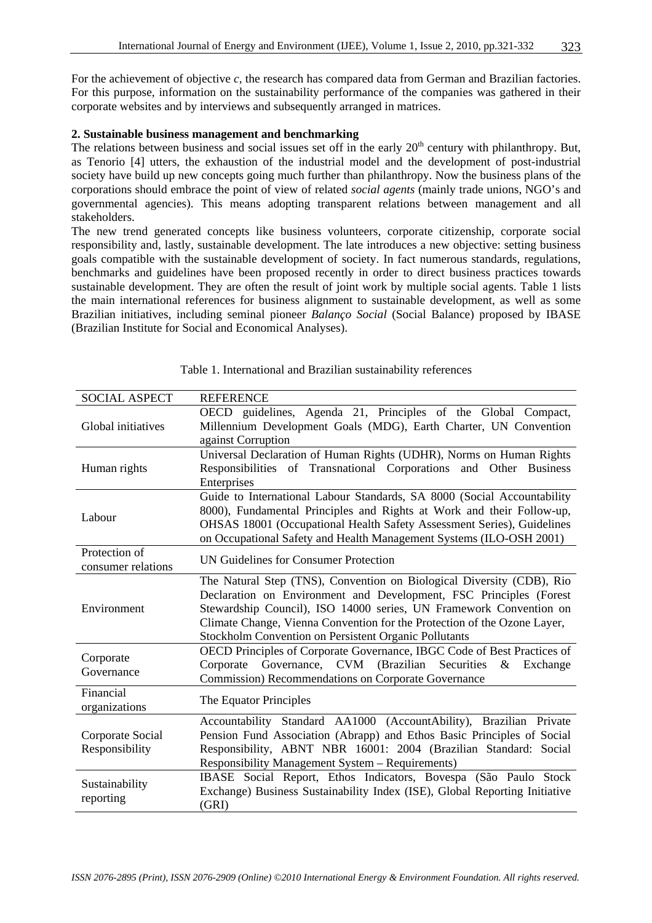For the achievement of objective *c,* the research has compared data from German and Brazilian factories. For this purpose, information on the sustainability performance of the companies was gathered in their corporate websites and by interviews and subsequently arranged in matrices.

#### **2. Sustainable business management and benchmarking**

The relations between business and social issues set off in the early  $20<sup>th</sup>$  century with philanthropy. But, as Tenorio [4] utters, the exhaustion of the industrial model and the development of post-industrial society have build up new concepts going much further than philanthropy. Now the business plans of the corporations should embrace the point of view of related *social agents* (mainly trade unions, NGO's and governmental agencies). This means adopting transparent relations between management and all stakeholders.

The new trend generated concepts like business volunteers, corporate citizenship, corporate social responsibility and, lastly, sustainable development. The late introduces a new objective: setting business goals compatible with the sustainable development of society. In fact numerous standards, regulations, benchmarks and guidelines have been proposed recently in order to direct business practices towards sustainable development. They are often the result of joint work by multiple social agents. Table 1 lists the main international references for business alignment to sustainable development, as well as some Brazilian initiatives, including seminal pioneer *Balanço Social* (Social Balance) proposed by IBASE (Brazilian Institute for Social and Economical Analyses).

| <b>SOCIAL ASPECT</b>                | <b>REFERENCE</b>                                                                                                                                                                                                                                                                                                                                       |
|-------------------------------------|--------------------------------------------------------------------------------------------------------------------------------------------------------------------------------------------------------------------------------------------------------------------------------------------------------------------------------------------------------|
| Global initiatives                  | OECD guidelines, Agenda 21, Principles of the Global Compact,<br>Millennium Development Goals (MDG), Earth Charter, UN Convention<br>against Corruption                                                                                                                                                                                                |
| Human rights                        | Universal Declaration of Human Rights (UDHR), Norms on Human Rights<br>Responsibilities of Transnational Corporations and Other Business<br>Enterprises                                                                                                                                                                                                |
| Labour                              | Guide to International Labour Standards, SA 8000 (Social Accountability<br>8000), Fundamental Principles and Rights at Work and their Follow-up,<br>OHSAS 18001 (Occupational Health Safety Assessment Series), Guidelines<br>on Occupational Safety and Health Management Systems (ILO-OSH 2001)                                                      |
| Protection of<br>consumer relations | UN Guidelines for Consumer Protection                                                                                                                                                                                                                                                                                                                  |
| Environment                         | The Natural Step (TNS), Convention on Biological Diversity (CDB), Rio<br>Declaration on Environment and Development, FSC Principles (Forest<br>Stewardship Council), ISO 14000 series, UN Framework Convention on<br>Climate Change, Vienna Convention for the Protection of the Ozone Layer,<br>Stockholm Convention on Persistent Organic Pollutants |
| Corporate<br>Governance             | OECD Principles of Corporate Governance, IBGC Code of Best Practices of<br>Corporate<br>Governance, CVM (Brazilian Securities<br>$&$ Exchange<br><b>Commission) Recommendations on Corporate Governance</b>                                                                                                                                            |
| Financial<br>organizations          | The Equator Principles                                                                                                                                                                                                                                                                                                                                 |
| Corporate Social<br>Responsibility  | Accountability Standard AA1000 (AccountAbility), Brazilian Private<br>Pension Fund Association (Abrapp) and Ethos Basic Principles of Social<br>Responsibility, ABNT NBR 16001: 2004 (Brazilian Standard: Social<br>Responsibility Management System - Requirements)                                                                                   |
| Sustainability<br>reporting         | IBASE Social Report, Ethos Indicators, Bovespa (São Paulo Stock<br>Exchange) Business Sustainability Index (ISE), Global Reporting Initiative<br>(GRI)                                                                                                                                                                                                 |

Table 1. International and Brazilian sustainability references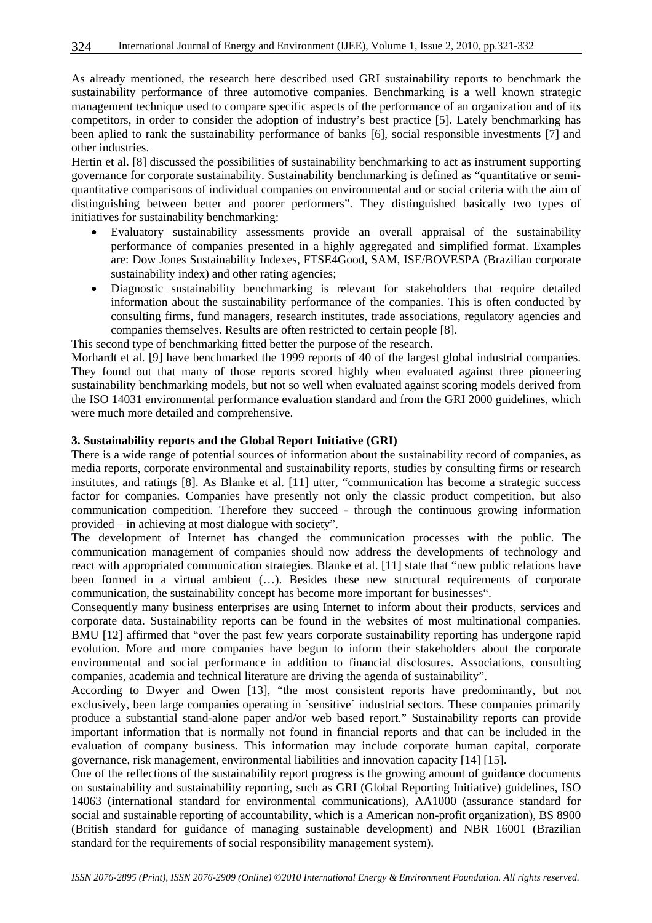As already mentioned, the research here described used GRI sustainability reports to benchmark the sustainability performance of three automotive companies. Benchmarking is a well known strategic management technique used to compare specific aspects of the performance of an organization and of its competitors, in order to consider the adoption of industry's best practice [5]. Lately benchmarking has been aplied to rank the sustainability performance of banks [6], social responsible investments [7] and other industries.

Hertin et al. [8] discussed the possibilities of sustainability benchmarking to act as instrument supporting governance for corporate sustainability. Sustainability benchmarking is defined as "quantitative or semiquantitative comparisons of individual companies on environmental and or social criteria with the aim of distinguishing between better and poorer performers". They distinguished basically two types of initiatives for sustainability benchmarking:

- Evaluatory sustainability assessments provide an overall appraisal of the sustainability performance of companies presented in a highly aggregated and simplified format. Examples are: Dow Jones Sustainability Indexes, FTSE4Good, SAM, ISE/BOVESPA (Brazilian corporate sustainability index) and other rating agencies;
- Diagnostic sustainability benchmarking is relevant for stakeholders that require detailed information about the sustainability performance of the companies. This is often conducted by consulting firms, fund managers, research institutes, trade associations, regulatory agencies and companies themselves. Results are often restricted to certain people [8].

This second type of benchmarking fitted better the purpose of the research.

Morhardt et al. [9] have benchmarked the 1999 reports of 40 of the largest global industrial companies. They found out that many of those reports scored highly when evaluated against three pioneering sustainability benchmarking models, but not so well when evaluated against scoring models derived from the ISO 14031 environmental performance evaluation standard and from the GRI 2000 guidelines, which were much more detailed and comprehensive.

#### **3. Sustainability reports and the Global Report Initiative (GRI)**

There is a wide range of potential sources of information about the sustainability record of companies, as media reports, corporate environmental and sustainability reports, studies by consulting firms or research institutes, and ratings [8]. As Blanke et al. [11] utter, "communication has become a strategic success factor for companies. Companies have presently not only the classic product competition, but also communication competition. Therefore they succeed - through the continuous growing information provided – in achieving at most dialogue with society".

The development of Internet has changed the communication processes with the public. The communication management of companies should now address the developments of technology and react with appropriated communication strategies. Blanke et al. [11] state that "new public relations have been formed in a virtual ambient (…). Besides these new structural requirements of corporate communication, the sustainability concept has become more important for businesses".

Consequently many business enterprises are using Internet to inform about their products, services and corporate data. Sustainability reports can be found in the websites of most multinational companies. BMU [12] affirmed that "over the past few years corporate sustainability reporting has undergone rapid evolution. More and more companies have begun to inform their stakeholders about the corporate environmental and social performance in addition to financial disclosures. Associations, consulting companies, academia and technical literature are driving the agenda of sustainability".

According to Dwyer and Owen [13], "the most consistent reports have predominantly, but not exclusively, been large companies operating in ´sensitive` industrial sectors. These companies primarily produce a substantial stand-alone paper and/or web based report." Sustainability reports can provide important information that is normally not found in financial reports and that can be included in the evaluation of company business. This information may include corporate human capital, corporate governance, risk management, environmental liabilities and innovation capacity [14] [15].

One of the reflections of the sustainability report progress is the growing amount of guidance documents on sustainability and sustainability reporting, such as GRI (Global Reporting Initiative) guidelines, ISO 14063 (international standard for environmental communications), AA1000 (assurance standard for social and sustainable reporting of accountability, which is a American non-profit organization), BS 8900 (British standard for guidance of managing sustainable development) and NBR 16001 (Brazilian standard for the requirements of social responsibility management system).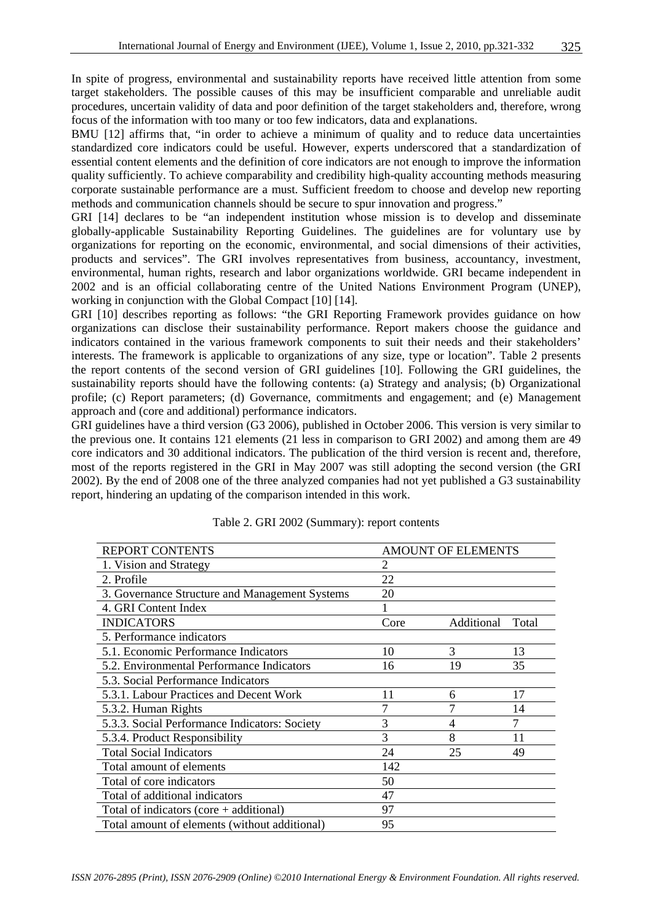In spite of progress, environmental and sustainability reports have received little attention from some target stakeholders. The possible causes of this may be insufficient comparable and unreliable audit procedures, uncertain validity of data and poor definition of the target stakeholders and, therefore, wrong focus of the information with too many or too few indicators, data and explanations.

BMU [12] affirms that, "in order to achieve a minimum of quality and to reduce data uncertainties standardized core indicators could be useful. However, experts underscored that a standardization of essential content elements and the definition of core indicators are not enough to improve the information quality sufficiently. To achieve comparability and credibility high-quality accounting methods measuring corporate sustainable performance are a must. Sufficient freedom to choose and develop new reporting methods and communication channels should be secure to spur innovation and progress."

GRI [14] declares to be "an independent institution whose mission is to develop and disseminate globally-applicable Sustainability Reporting Guidelines. The guidelines are for voluntary use by organizations for reporting on the economic, environmental, and social dimensions of their activities, products and services". The GRI involves representatives from business, accountancy, investment, environmental, human rights, research and labor organizations worldwide. GRI became independent in 2002 and is an official collaborating centre of the United Nations Environment Program (UNEP), working in conjunction with the Global Compact [10] [14].

GRI [10] describes reporting as follows: "the GRI Reporting Framework provides guidance on how organizations can disclose their sustainability performance. Report makers choose the guidance and indicators contained in the various framework components to suit their needs and their stakeholders' interests. The framework is applicable to organizations of any size, type or location". Table 2 presents the report contents of the second version of GRI guidelines [10]. Following the GRI guidelines, the sustainability reports should have the following contents: (a) Strategy and analysis; (b) Organizational profile; (c) Report parameters; (d) Governance, commitments and engagement; and (e) Management approach and (core and additional) performance indicators.

GRI guidelines have a third version (G3 2006), published in October 2006. This version is very similar to the previous one. It contains 121 elements (21 less in comparison to GRI 2002) and among them are 49 core indicators and 30 additional indicators. The publication of the third version is recent and, therefore, most of the reports registered in the GRI in May 2007 was still adopting the second version (the GRI 2002). By the end of 2008 one of the three analyzed companies had not yet published a G3 sustainability report, hindering an updating of the comparison intended in this work.

| <b>REPORT CONTENTS</b>                         | <b>AMOUNT OF ELEMENTS</b> |            |       |  |
|------------------------------------------------|---------------------------|------------|-------|--|
| 1. Vision and Strategy                         | 2                         |            |       |  |
| 2. Profile                                     | 22                        |            |       |  |
| 3. Governance Structure and Management Systems | 20                        |            |       |  |
| 4. GRI Content Index                           |                           |            |       |  |
| <b>INDICATORS</b>                              | Core                      | Additional | Total |  |
| 5. Performance indicators                      |                           |            |       |  |
| 5.1. Economic Performance Indicators           | 10                        | 3          | 13    |  |
| 5.2. Environmental Performance Indicators      | 16                        | 19         | 35    |  |
| 5.3. Social Performance Indicators             |                           |            |       |  |
| 5.3.1. Labour Practices and Decent Work        | 11                        | 6          | 17    |  |
| 5.3.2. Human Rights                            |                           |            | 14    |  |
| 5.3.3. Social Performance Indicators: Society  | 3                         | 4          | 7     |  |
| 5.3.4. Product Responsibility                  | 3                         | 8          | 11    |  |
| <b>Total Social Indicators</b>                 | 24                        | 25         | 49    |  |
| Total amount of elements                       | 142                       |            |       |  |
| Total of core indicators                       | 50                        |            |       |  |
| Total of additional indicators                 | 47                        |            |       |  |
| Total of indicators (core $+$ additional)      | 97                        |            |       |  |
| Total amount of elements (without additional)  | 95                        |            |       |  |

Table 2. GRI 2002 (Summary): report contents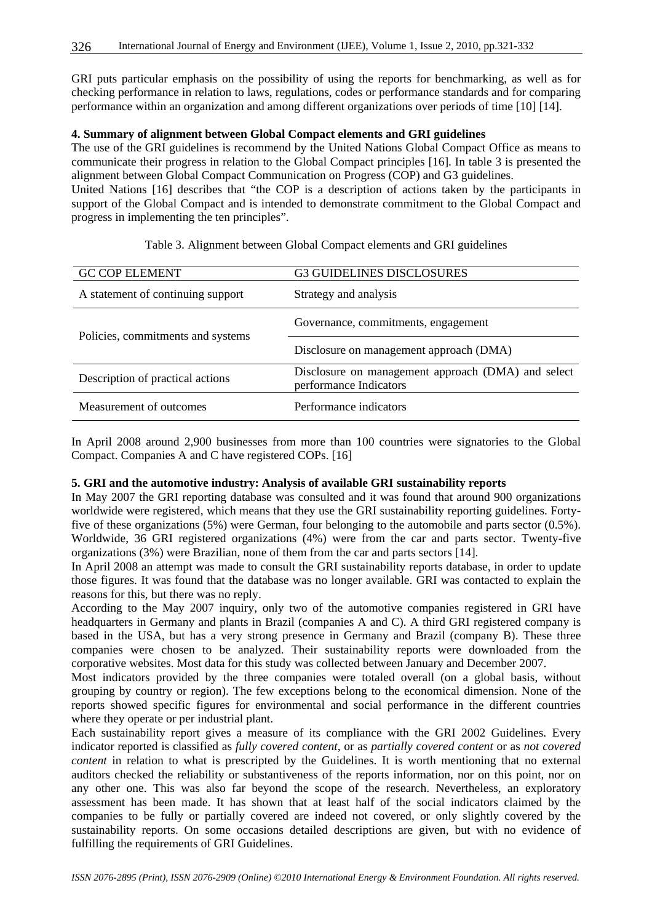GRI puts particular emphasis on the possibility of using the reports for benchmarking, as well as for checking performance in relation to laws, regulations, codes or performance standards and for comparing performance within an organization and among different organizations over periods of time [10] [14].

#### **4. Summary of alignment between Global Compact elements and GRI guidelines**

The use of the GRI guidelines is recommend by the United Nations Global Compact Office as means to communicate their progress in relation to the Global Compact principles [16]. In table 3 is presented the alignment between Global Compact Communication on Progress (COP) and G3 guidelines.

United Nations [16] describes that "the COP is a description of actions taken by the participants in support of the Global Compact and is intended to demonstrate commitment to the Global Compact and progress in implementing the ten principles".

| <b>GC COP ELEMENT</b>             | <b>G3 GUIDELINES DISCLOSURES</b>                                             |
|-----------------------------------|------------------------------------------------------------------------------|
| A statement of continuing support | Strategy and analysis                                                        |
|                                   | Governance, commitments, engagement                                          |
| Policies, commitments and systems | Disclosure on management approach (DMA)                                      |
| Description of practical actions  | Disclosure on management approach (DMA) and select<br>performance Indicators |
| Measurement of outcomes           | Performance indicators                                                       |

Table 3. Alignment between Global Compact elements and GRI guidelines

In April 2008 around 2,900 businesses from more than 100 countries were signatories to the Global Compact. Companies A and C have registered COPs. [16]

#### **5. GRI and the automotive industry: Analysis of available GRI sustainability reports**

In May 2007 the GRI reporting database was consulted and it was found that around 900 organizations worldwide were registered, which means that they use the GRI sustainability reporting guidelines. Fortyfive of these organizations (5%) were German, four belonging to the automobile and parts sector (0.5%). Worldwide, 36 GRI registered organizations (4%) were from the car and parts sector. Twenty-five organizations (3%) were Brazilian, none of them from the car and parts sectors [14].

In April 2008 an attempt was made to consult the GRI sustainability reports database, in order to update those figures. It was found that the database was no longer available. GRI was contacted to explain the reasons for this, but there was no reply.

According to the May 2007 inquiry, only two of the automotive companies registered in GRI have headquarters in Germany and plants in Brazil (companies A and C). A third GRI registered company is based in the USA, but has a very strong presence in Germany and Brazil (company B). These three companies were chosen to be analyzed. Their sustainability reports were downloaded from the corporative websites. Most data for this study was collected between January and December 2007.

Most indicators provided by the three companies were totaled overall (on a global basis, without grouping by country or region). The few exceptions belong to the economical dimension. None of the reports showed specific figures for environmental and social performance in the different countries where they operate or per industrial plant.

Each sustainability report gives a measure of its compliance with the GRI 2002 Guidelines. Every indicator reported is classified as *fully covered content*, or as *partially covered content* or as *not covered content* in relation to what is prescripted by the Guidelines. It is worth mentioning that no external auditors checked the reliability or substantiveness of the reports information, nor on this point, nor on any other one. This was also far beyond the scope of the research. Nevertheless, an exploratory assessment has been made. It has shown that at least half of the social indicators claimed by the companies to be fully or partially covered are indeed not covered, or only slightly covered by the sustainability reports. On some occasions detailed descriptions are given, but with no evidence of fulfilling the requirements of GRI Guidelines.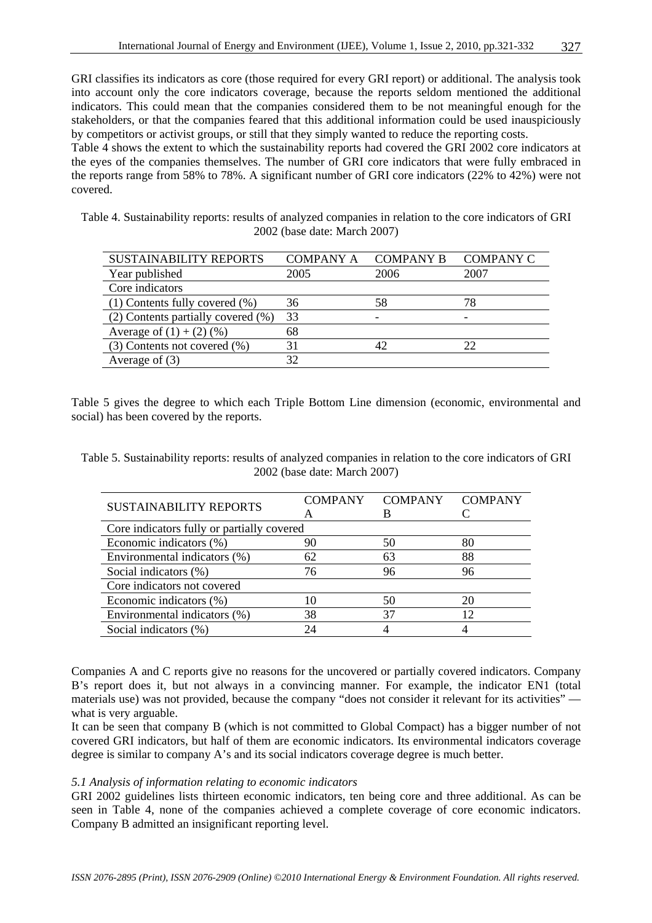GRI classifies its indicators as core (those required for every GRI report) or additional. The analysis took into account only the core indicators coverage, because the reports seldom mentioned the additional indicators. This could mean that the companies considered them to be not meaningful enough for the stakeholders, or that the companies feared that this additional information could be used inauspiciously by competitors or activist groups, or still that they simply wanted to reduce the reporting costs.

Table 4 shows the extent to which the sustainability reports had covered the GRI 2002 core indicators at the eyes of the companies themselves. The number of GRI core indicators that were fully embraced in the reports range from 58% to 78%. A significant number of GRI core indicators (22% to 42%) were not covered.

Table 4. Sustainability reports: results of analyzed companies in relation to the core indicators of GRI 2002 (base date: March 2007)

| <b>SUSTAINABILITY REPORTS</b>       | <b>COMPANY A</b> | <b>COMPANY B</b> | <b>COMPANY C</b> |
|-------------------------------------|------------------|------------------|------------------|
| Year published                      | 2005             | 2006             | 2007             |
| Core indicators                     |                  |                  |                  |
| $(1)$ Contents fully covered $(\%)$ | 36               | 58               | 78               |
| (2) Contents partially covered (%)  | 33               |                  |                  |
| Average of $(1) + (2)$ (%)          | 68               |                  |                  |
| $(3)$ Contents not covered $(\%)$   | 31               | 42               | 22               |
| Average of $(3)$                    | 32               |                  |                  |

Table 5 gives the degree to which each Triple Bottom Line dimension (economic, environmental and social) has been covered by the reports.

Table 5. Sustainability reports: results of analyzed companies in relation to the core indicators of GRI 2002 (base date: March 2007)

| <b>SUSTAINABILITY REPORTS</b>              | <b>COMPANY</b> | <b>COMPANY</b> | <b>COMPANY</b> |  |  |
|--------------------------------------------|----------------|----------------|----------------|--|--|
|                                            | А              |                |                |  |  |
| Core indicators fully or partially covered |                |                |                |  |  |
| Economic indicators (%)                    | 90             | 50             | 80             |  |  |
| Environmental indicators (%)               | 62             | 63             | 88             |  |  |
| Social indicators (%)                      | 76             | 96             | 96             |  |  |
| Core indicators not covered                |                |                |                |  |  |
| Economic indicators (%)                    |                | 50             | 20             |  |  |
| Environmental indicators (%)               | 38             | 37             | 12             |  |  |
| Social indicators (%)                      | 24             |                |                |  |  |

Companies A and C reports give no reasons for the uncovered or partially covered indicators. Company B's report does it, but not always in a convincing manner. For example, the indicator EN1 (total materials use) was not provided, because the company "does not consider it relevant for its activities" what is very arguable.

It can be seen that company B (which is not committed to Global Compact) has a bigger number of not covered GRI indicators, but half of them are economic indicators. Its environmental indicators coverage degree is similar to company A's and its social indicators coverage degree is much better.

#### *5.1 Analysis of information relating to economic indicators*

GRI 2002 guidelines lists thirteen economic indicators, ten being core and three additional. As can be seen in Table 4, none of the companies achieved a complete coverage of core economic indicators. Company B admitted an insignificant reporting level.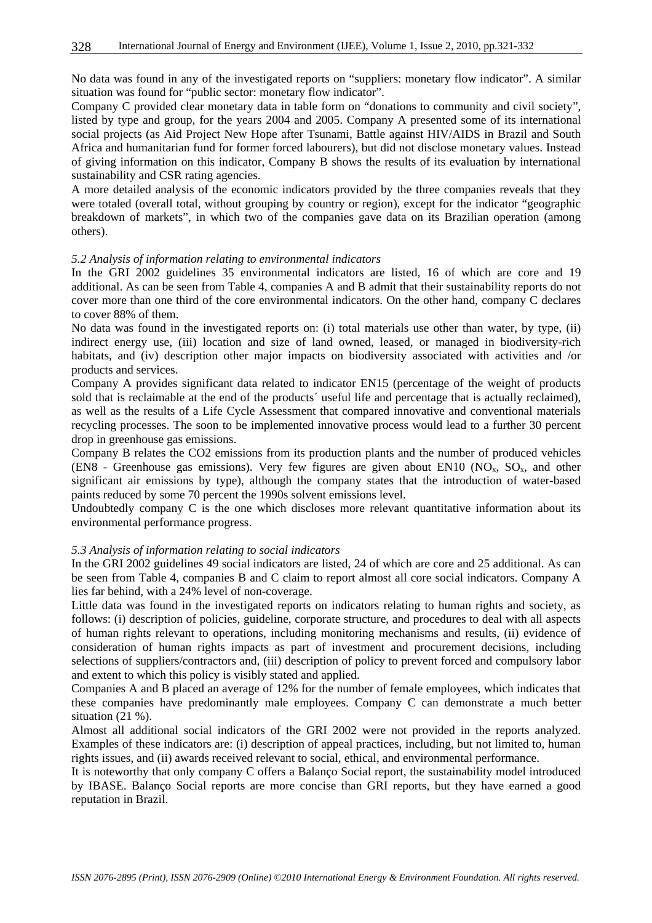No data was found in any of the investigated reports on "suppliers: monetary flow indicator". A similar situation was found for "public sector: monetary flow indicator".

Company C provided clear monetary data in table form on "donations to community and civil society", listed by type and group, for the years 2004 and 2005. Company A presented some of its international social projects (as Aid Project New Hope after Tsunami, Battle against HIV/AIDS in Brazil and South Africa and humanitarian fund for former forced labourers), but did not disclose monetary values. Instead of giving information on this indicator, Company B shows the results of its evaluation by international sustainability and CSR rating agencies.

A more detailed analysis of the economic indicators provided by the three companies reveals that they were totaled (overall total, without grouping by country or region), except for the indicator "geographic breakdown of markets", in which two of the companies gave data on its Brazilian operation (among others).

# *5.2 Analysis of information relating to environmental indicators*

In the GRI 2002 guidelines 35 environmental indicators are listed, 16 of which are core and 19 additional. As can be seen from Table 4, companies A and B admit that their sustainability reports do not cover more than one third of the core environmental indicators. On the other hand, company C declares to cover 88% of them.

No data was found in the investigated reports on: (i) total materials use other than water, by type, (ii) indirect energy use, (iii) location and size of land owned, leased, or managed in biodiversity-rich habitats, and (iv) description other major impacts on biodiversity associated with activities and /or products and services.

Company A provides significant data related to indicator EN15 (percentage of the weight of products sold that is reclaimable at the end of the products´ useful life and percentage that is actually reclaimed), as well as the results of a Life Cycle Assessment that compared innovative and conventional materials recycling processes. The soon to be implemented innovative process would lead to a further 30 percent drop in greenhouse gas emissions.

Company B relates the CO2 emissions from its production plants and the number of produced vehicles (EN8 - Greenhouse gas emissions). Very few figures are given about EN10 (NO<sub>x</sub>, SO<sub>x</sub>, and other significant air emissions by type), although the company states that the introduction of water-based paints reduced by some 70 percent the 1990s solvent emissions level.

Undoubtedly company C is the one which discloses more relevant quantitative information about its environmental performance progress.

#### *5.3 Analysis of information relating to social indicators*

In the GRI 2002 guidelines 49 social indicators are listed, 24 of which are core and 25 additional. As can be seen from Table 4, companies B and C claim to report almost all core social indicators. Company A lies far behind, with a 24% level of non-coverage.

Little data was found in the investigated reports on indicators relating to human rights and society, as follows: (i) description of policies, guideline, corporate structure, and procedures to deal with all aspects of human rights relevant to operations, including monitoring mechanisms and results, (ii) evidence of consideration of human rights impacts as part of investment and procurement decisions, including selections of suppliers/contractors and, (iii) description of policy to prevent forced and compulsory labor and extent to which this policy is visibly stated and applied.

Companies A and B placed an average of 12% for the number of female employees, which indicates that these companies have predominantly male employees. Company C can demonstrate a much better situation (21 %).

Almost all additional social indicators of the GRI 2002 were not provided in the reports analyzed. Examples of these indicators are: (i) description of appeal practices, including, but not limited to, human rights issues, and (ii) awards received relevant to social, ethical, and environmental performance.

It is noteworthy that only company C offers a Balanço Social report, the sustainability model introduced by IBASE. Balanço Social reports are more concise than GRI reports, but they have earned a good reputation in Brazil.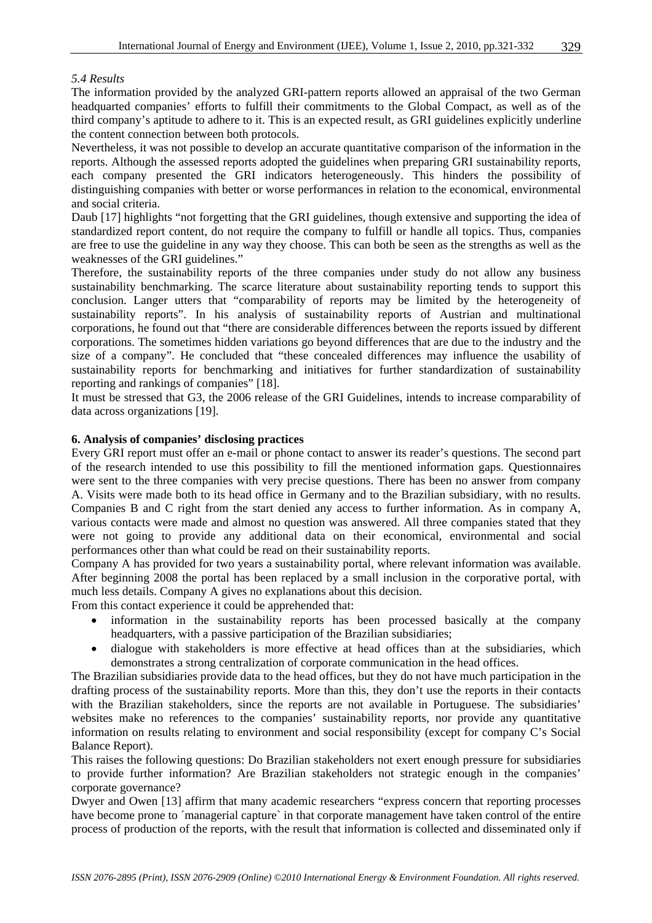#### *5.4 Results*

The information provided by the analyzed GRI-pattern reports allowed an appraisal of the two German headquarted companies' efforts to fulfill their commitments to the Global Compact, as well as of the third company's aptitude to adhere to it. This is an expected result, as GRI guidelines explicitly underline the content connection between both protocols.

Nevertheless, it was not possible to develop an accurate quantitative comparison of the information in the reports. Although the assessed reports adopted the guidelines when preparing GRI sustainability reports, each company presented the GRI indicators heterogeneously. This hinders the possibility of distinguishing companies with better or worse performances in relation to the economical, environmental and social criteria.

Daub [17] highlights "not forgetting that the GRI guidelines, though extensive and supporting the idea of standardized report content, do not require the company to fulfill or handle all topics. Thus, companies are free to use the guideline in any way they choose. This can both be seen as the strengths as well as the weaknesses of the GRI guidelines."

Therefore, the sustainability reports of the three companies under study do not allow any business sustainability benchmarking. The scarce literature about sustainability reporting tends to support this conclusion. Langer utters that "comparability of reports may be limited by the heterogeneity of sustainability reports". In his analysis of sustainability reports of Austrian and multinational corporations, he found out that "there are considerable differences between the reports issued by different corporations. The sometimes hidden variations go beyond differences that are due to the industry and the size of a company". He concluded that "these concealed differences may influence the usability of sustainability reports for benchmarking and initiatives for further standardization of sustainability reporting and rankings of companies" [18].

It must be stressed that G3, the 2006 release of the GRI Guidelines, intends to increase comparability of data across organizations [19].

#### **6. Analysis of companies' disclosing practices**

Every GRI report must offer an e-mail or phone contact to answer its reader's questions. The second part of the research intended to use this possibility to fill the mentioned information gaps. Questionnaires were sent to the three companies with very precise questions. There has been no answer from company A. Visits were made both to its head office in Germany and to the Brazilian subsidiary, with no results. Companies B and C right from the start denied any access to further information. As in company A, various contacts were made and almost no question was answered. All three companies stated that they were not going to provide any additional data on their economical, environmental and social performances other than what could be read on their sustainability reports.

Company A has provided for two years a sustainability portal, where relevant information was available. After beginning 2008 the portal has been replaced by a small inclusion in the corporative portal, with much less details. Company A gives no explanations about this decision.

From this contact experience it could be apprehended that:

- information in the sustainability reports has been processed basically at the company headquarters, with a passive participation of the Brazilian subsidiaries;
- dialogue with stakeholders is more effective at head offices than at the subsidiaries, which demonstrates a strong centralization of corporate communication in the head offices.

The Brazilian subsidiaries provide data to the head offices, but they do not have much participation in the drafting process of the sustainability reports. More than this, they don't use the reports in their contacts with the Brazilian stakeholders, since the reports are not available in Portuguese. The subsidiaries' websites make no references to the companies' sustainability reports, nor provide any quantitative information on results relating to environment and social responsibility (except for company C's Social Balance Report).

This raises the following questions: Do Brazilian stakeholders not exert enough pressure for subsidiaries to provide further information? Are Brazilian stakeholders not strategic enough in the companies' corporate governance?

Dwyer and Owen [13] affirm that many academic researchers "express concern that reporting processes have become prone to ´managerial capture` in that corporate management have taken control of the entire process of production of the reports, with the result that information is collected and disseminated only if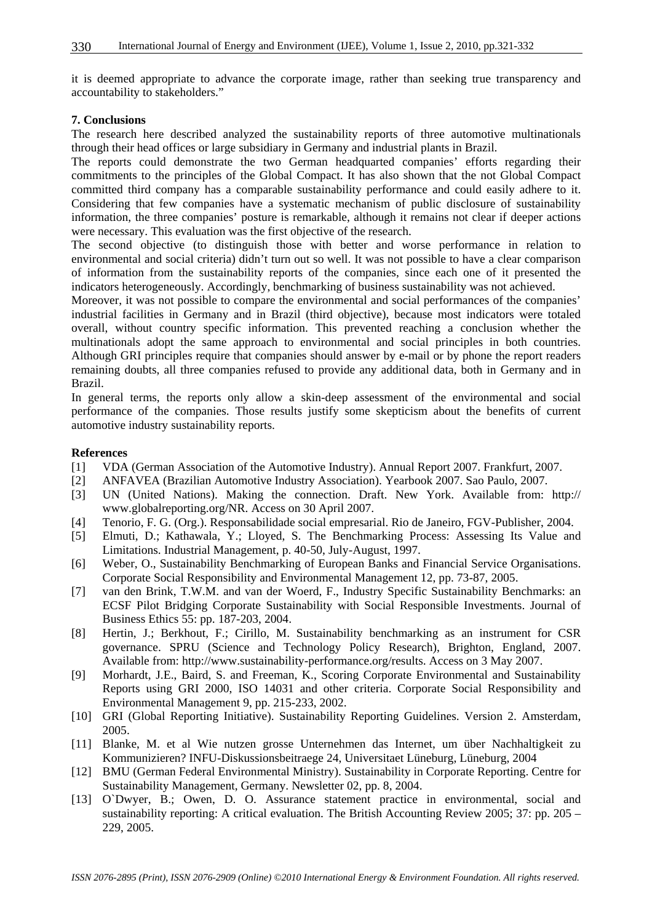it is deemed appropriate to advance the corporate image, rather than seeking true transparency and accountability to stakeholders."

#### **7. Conclusions**

The research here described analyzed the sustainability reports of three automotive multinationals through their head offices or large subsidiary in Germany and industrial plants in Brazil.

The reports could demonstrate the two German headquarted companies' efforts regarding their commitments to the principles of the Global Compact. It has also shown that the not Global Compact committed third company has a comparable sustainability performance and could easily adhere to it. Considering that few companies have a systematic mechanism of public disclosure of sustainability information, the three companies' posture is remarkable, although it remains not clear if deeper actions were necessary. This evaluation was the first objective of the research.

The second objective (to distinguish those with better and worse performance in relation to environmental and social criteria) didn't turn out so well. It was not possible to have a clear comparison of information from the sustainability reports of the companies, since each one of it presented the indicators heterogeneously. Accordingly, benchmarking of business sustainability was not achieved.

Moreover, it was not possible to compare the environmental and social performances of the companies' industrial facilities in Germany and in Brazil (third objective), because most indicators were totaled overall, without country specific information. This prevented reaching a conclusion whether the multinationals adopt the same approach to environmental and social principles in both countries. Although GRI principles require that companies should answer by e-mail or by phone the report readers remaining doubts, all three companies refused to provide any additional data, both in Germany and in Brazil.

In general terms, the reports only allow a skin-deep assessment of the environmental and social performance of the companies. Those results justify some skepticism about the benefits of current automotive industry sustainability reports.

#### **References**

- [1] VDA (German Association of the Automotive Industry). Annual Report 2007. Frankfurt, 2007.
- [2] ANFAVEA (Brazilian Automotive Industry Association). Yearbook 2007. Sao Paulo, 2007.
- [3] UN (United Nations). Making the connection. Draft. New York. Available from: http:// www.globalreporting.org/NR. Access on 30 April 2007.
- [4] Tenorio, F. G. (Org.). Responsabilidade social empresarial. Rio de Janeiro, FGV-Publisher, 2004.
- [5] Elmuti, D.; Kathawala, Y.; Lloyed, S. The Benchmarking Process: Assessing Its Value and Limitations. Industrial Management, p. 40-50, July-August, 1997.
- [6] Weber, O., Sustainability Benchmarking of European Banks and Financial Service Organisations. Corporate Social Responsibility and Environmental Management 12, pp. 73-87, 2005.
- [7] van den Brink, T.W.M. and van der Woerd, F., Industry Specific Sustainability Benchmarks: an ECSF Pilot Bridging Corporate Sustainability with Social Responsible Investments. Journal of Business Ethics 55: pp. 187-203, 2004.
- [8] Hertin, J.; Berkhout, F.; Cirillo, M. Sustainability benchmarking as an instrument for CSR governance. SPRU (Science and Technology Policy Research), Brighton, England, 2007. Available from: http://www.sustainability-performance.org/results. Access on 3 May 2007.
- [9] Morhardt, J.E., Baird, S. and Freeman, K., Scoring Corporate Environmental and Sustainability Reports using GRI 2000, ISO 14031 and other criteria. Corporate Social Responsibility and Environmental Management 9, pp. 215-233, 2002.
- [10] GRI (Global Reporting Initiative). Sustainability Reporting Guidelines. Version 2. Amsterdam, 2005.
- [11] Blanke, M. et al Wie nutzen grosse Unternehmen das Internet, um über Nachhaltigkeit zu Kommunizieren? INFU-Diskussionsbeitraege 24, Universitaet Lüneburg, Lüneburg, 2004
- [12] BMU (German Federal Environmental Ministry). Sustainability in Corporate Reporting. Centre for Sustainability Management, Germany. Newsletter 02, pp. 8, 2004.
- [13] O`Dwyer, B.; Owen, D. O. Assurance statement practice in environmental, social and sustainability reporting: A critical evaluation. The British Accounting Review 2005; 37: pp. 205 – 229, 2005.